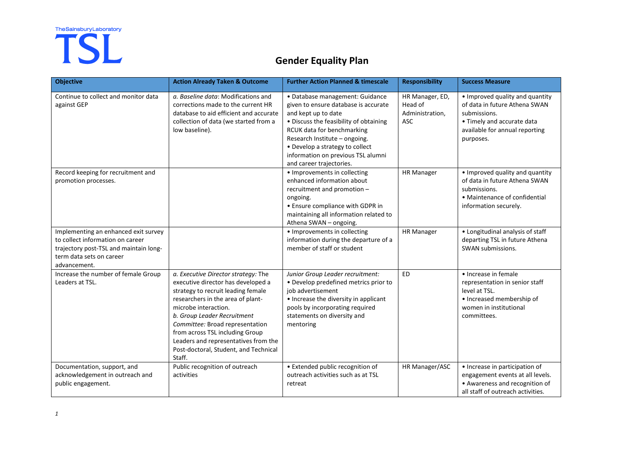# The Sainsbury Laboratory

## **Gender Equality Plan**

| <b>Objective</b>                                                                                                                                               | <b>Action Already Taken &amp; Outcome</b>                                                                                                                                                                                                                                                                                                                                    | <b>Further Action Planned &amp; timescale</b>                                                                                                                                                                                                                                                                | <b>Responsibility</b>                                | <b>Success Measure</b>                                                                                                                                        |
|----------------------------------------------------------------------------------------------------------------------------------------------------------------|------------------------------------------------------------------------------------------------------------------------------------------------------------------------------------------------------------------------------------------------------------------------------------------------------------------------------------------------------------------------------|--------------------------------------------------------------------------------------------------------------------------------------------------------------------------------------------------------------------------------------------------------------------------------------------------------------|------------------------------------------------------|---------------------------------------------------------------------------------------------------------------------------------------------------------------|
| Continue to collect and monitor data<br>against GEP                                                                                                            | a. Baseline data: Modifications and<br>corrections made to the current HR<br>database to aid efficient and accurate<br>collection of data (we started from a<br>low baseline).                                                                                                                                                                                               | · Database management: Guidance<br>given to ensure database is accurate<br>and kept up to date<br>• Discuss the feasibility of obtaining<br>RCUK data for benchmarking<br>Research Institute - ongoing.<br>• Develop a strategy to collect<br>information on previous TSL alumni<br>and career trajectories. | HR Manager, ED,<br>Head of<br>Administration,<br>ASC | • Improved quality and quantity<br>of data in future Athena SWAN<br>submissions.<br>• Timely and accurate data<br>available for annual reporting<br>purposes. |
| Record keeping for recruitment and<br>promotion processes.                                                                                                     |                                                                                                                                                                                                                                                                                                                                                                              | • Improvements in collecting<br>enhanced information about<br>recruitment and promotion -<br>ongoing.<br>• Ensure compliance with GDPR in<br>maintaining all information related to<br>Athena SWAN - ongoing.                                                                                                | <b>HR Manager</b>                                    | • Improved quality and quantity<br>of data in future Athena SWAN<br>submissions.<br>• Maintenance of confidential<br>information securely.                    |
| Implementing an enhanced exit survey<br>to collect information on career<br>trajectory post-TSL and maintain long-<br>term data sets on career<br>advancement. |                                                                                                                                                                                                                                                                                                                                                                              | • Improvements in collecting<br>information during the departure of a<br>member of staff or student                                                                                                                                                                                                          | <b>HR Manager</b>                                    | • Longitudinal analysis of staff<br>departing TSL in future Athena<br>SWAN submissions.                                                                       |
| Increase the number of female Group<br>Leaders at TSL.                                                                                                         | a. Executive Director strategy: The<br>executive director has developed a<br>strategy to recruit leading female<br>researchers in the area of plant-<br>microbe interaction.<br>b. Group Leader Recruitment<br>Committee: Broad representation<br>from across TSL including Group<br>Leaders and representatives from the<br>Post-doctoral, Student, and Technical<br>Staff. | Junior Group Leader recruitment:<br>• Develop predefined metrics prior to<br>job advertisement<br>• Increase the diversity in applicant<br>pools by incorporating required<br>statements on diversity and<br>mentoring                                                                                       | <b>ED</b>                                            | · Increase in female<br>representation in senior staff<br>level at TSL.<br>• Increased membership of<br>women in institutional<br>committees.                 |
| Documentation, support, and<br>acknowledgement in outreach and<br>public engagement.                                                                           | Public recognition of outreach<br>activities                                                                                                                                                                                                                                                                                                                                 | • Extended public recognition of<br>outreach activities such as at TSL<br>retreat                                                                                                                                                                                                                            | HR Manager/ASC                                       | · Increase in participation of<br>engagement events at all levels.<br>• Awareness and recognition of<br>all staff of outreach activities.                     |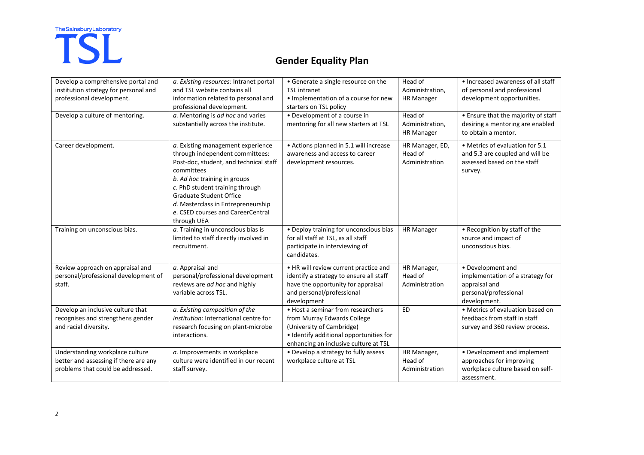# The Sainsbury Laboratory

## **Gender Equality Plan**

| Develop a comprehensive portal and    | a. Existing resources: Intranet portal | • Generate a single resource on the     | Head of           | • Increased awareness of all staff  |
|---------------------------------------|----------------------------------------|-----------------------------------------|-------------------|-------------------------------------|
| institution strategy for personal and | and TSL website contains all           | <b>TSL</b> intranet                     | Administration,   | of personal and professional        |
| professional development.             | information related to personal and    | • Implementation of a course for new    | <b>HR Manager</b> | development opportunities.          |
|                                       | professional development.              | starters on TSL policy                  |                   |                                     |
| Develop a culture of mentoring.       | a. Mentoring is ad hoc and varies      | • Development of a course in            | Head of           | • Ensure that the majority of staff |
|                                       | substantially across the institute.    | mentoring for all new starters at TSL   | Administration,   | desiring a mentoring are enabled    |
|                                       |                                        |                                         | <b>HR Manager</b> | to obtain a mentor.                 |
| Career development.                   | a. Existing management experience      | • Actions planned in 5.1 will increase  | HR Manager, ED,   | • Metrics of evaluation for 5.1     |
|                                       | through independent committees:        | awareness and access to career          | Head of           | and 5.3 are coupled and will be     |
|                                       | Post-doc, student, and technical staff | development resources.                  | Administration    | assessed based on the staff         |
|                                       | committees                             |                                         |                   | survey.                             |
|                                       | b. Ad hoc training in groups           |                                         |                   |                                     |
|                                       | c. PhD student training through        |                                         |                   |                                     |
|                                       | <b>Graduate Student Office</b>         |                                         |                   |                                     |
|                                       | d. Masterclass in Entrepreneurship     |                                         |                   |                                     |
|                                       | e. CSED courses and CareerCentral      |                                         |                   |                                     |
|                                       | through UEA                            |                                         |                   |                                     |
| Training on unconscious bias.         | a. Training in unconscious bias is     | • Deploy training for unconscious bias  | <b>HR Manager</b> | • Recognition by staff of the       |
|                                       | limited to staff directly involved in  | for all staff at TSL, as all staff      |                   | source and impact of                |
|                                       | recruitment.                           | participate in interviewing of          |                   | unconscious bias.                   |
|                                       |                                        | candidates.                             |                   |                                     |
| Review approach on appraisal and      | a. Appraisal and                       | . HR will review current practice and   | HR Manager,       | • Development and                   |
| personal/professional development of  | personal/professional development      | identify a strategy to ensure all staff | Head of           | implementation of a strategy for    |
| staff.                                | reviews are ad hoc and highly          | have the opportunity for appraisal      | Administration    | appraisal and                       |
|                                       | variable across TSL.                   | and personal/professional               |                   | personal/professional               |
|                                       |                                        | development                             |                   | development.                        |
| Develop an inclusive culture that     | a. Existing composition of the         | • Host a seminar from researchers       | <b>ED</b>         | • Metrics of evaluation based on    |
| recognises and strengthens gender     | institution: International centre for  | from Murray Edwards College             |                   | feedback from staff in staff        |
| and racial diversity.                 | research focusing on plant-microbe     | (University of Cambridge)               |                   | survey and 360 review process.      |
|                                       | interactions.                          | · Identify additional opportunities for |                   |                                     |
|                                       |                                        | enhancing an inclusive culture at TSL   |                   |                                     |
| Understanding workplace culture       | a. Improvements in workplace           | • Develop a strategy to fully assess    | HR Manager,       | • Development and implement         |
| better and assessing if there are any | culture were identified in our recent  | workplace culture at TSL                | Head of           | approaches for improving            |
| problems that could be addressed.     | staff survey.                          |                                         | Administration    | workplace culture based on self-    |
|                                       |                                        |                                         |                   | assessment.                         |